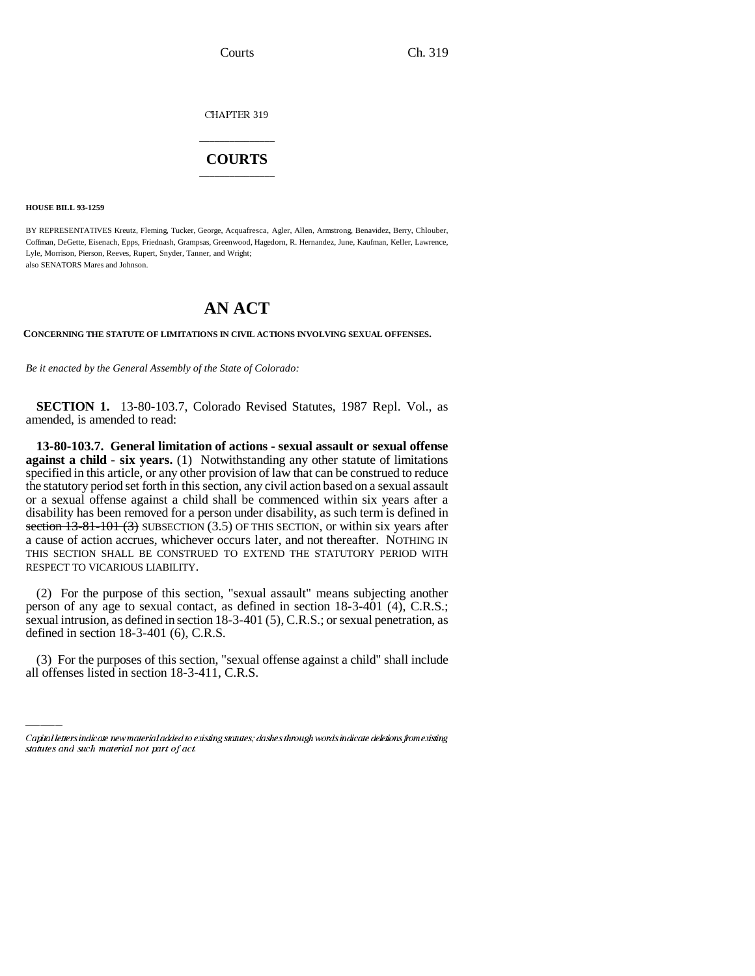CHAPTER 319

## \_\_\_\_\_\_\_\_\_\_\_\_\_\_\_ **COURTS** \_\_\_\_\_\_\_\_\_\_\_\_\_\_\_

**HOUSE BILL 93-1259**

BY REPRESENTATIVES Kreutz, Fleming, Tucker, George, Acquafresca, Agler, Allen, Armstrong, Benavidez, Berry, Chlouber, Coffman, DeGette, Eisenach, Epps, Friednash, Grampsas, Greenwood, Hagedorn, R. Hernandez, June, Kaufman, Keller, Lawrence, Lyle, Morrison, Pierson, Reeves, Rupert, Snyder, Tanner, and Wright; also SENATORS Mares and Johnson.

## **AN ACT**

**CONCERNING THE STATUTE OF LIMITATIONS IN CIVIL ACTIONS INVOLVING SEXUAL OFFENSES.**

*Be it enacted by the General Assembly of the State of Colorado:*

**SECTION 1.** 13-80-103.7, Colorado Revised Statutes, 1987 Repl. Vol., as amended, is amended to read:

**13-80-103.7. General limitation of actions - sexual assault or sexual offense against a child - six years.** (1) Notwithstanding any other statute of limitations specified in this article, or any other provision of law that can be construed to reduce the statutory period set forth in this section, any civil action based on a sexual assault or a sexual offense against a child shall be commenced within six years after a disability has been removed for a person under disability, as such term is defined in section  $13-81-101$  (3) SUBSECTION (3.5) OF THIS SECTION, or within six years after a cause of action accrues, whichever occurs later, and not thereafter. NOTHING IN THIS SECTION SHALL BE CONSTRUED TO EXTEND THE STATUTORY PERIOD WITH RESPECT TO VICARIOUS LIABILITY.

defined in section 18-3-401 (6), C.R.S. (2) For the purpose of this section, "sexual assault" means subjecting another person of any age to sexual contact, as defined in section 18-3-401 (4), C.R.S.; sexual intrusion, as defined in section 18-3-401 (5), C.R.S.; or sexual penetration, as

(3) For the purposes of this section, "sexual offense against a child" shall include all offenses listed in section 18-3-411, C.R.S.

Capital letters indicate new material added to existing statutes; dashes through words indicate deletions from existing statutes and such material not part of act.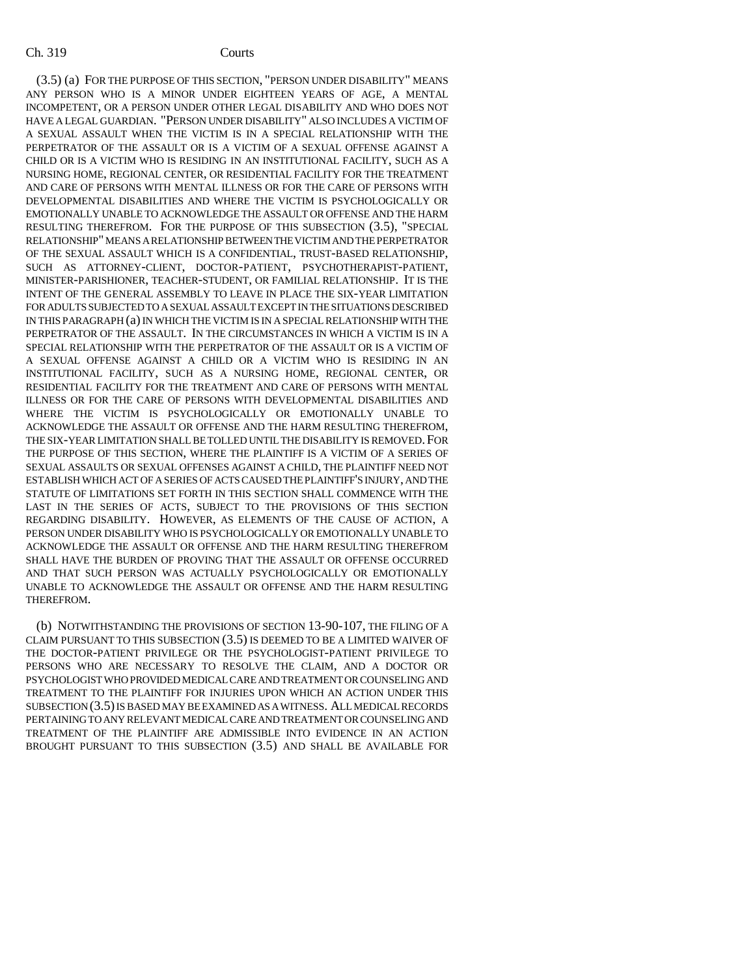(3.5) (a) FOR THE PURPOSE OF THIS SECTION, "PERSON UNDER DISABILITY" MEANS ANY PERSON WHO IS A MINOR UNDER EIGHTEEN YEARS OF AGE, A MENTAL INCOMPETENT, OR A PERSON UNDER OTHER LEGAL DISABILITY AND WHO DOES NOT HAVE A LEGAL GUARDIAN. "PERSON UNDER DISABILITY" ALSO INCLUDES A VICTIM OF A SEXUAL ASSAULT WHEN THE VICTIM IS IN A SPECIAL RELATIONSHIP WITH THE PERPETRATOR OF THE ASSAULT OR IS A VICTIM OF A SEXUAL OFFENSE AGAINST A CHILD OR IS A VICTIM WHO IS RESIDING IN AN INSTITUTIONAL FACILITY, SUCH AS A NURSING HOME, REGIONAL CENTER, OR RESIDENTIAL FACILITY FOR THE TREATMENT AND CARE OF PERSONS WITH MENTAL ILLNESS OR FOR THE CARE OF PERSONS WITH DEVELOPMENTAL DISABILITIES AND WHERE THE VICTIM IS PSYCHOLOGICALLY OR EMOTIONALLY UNABLE TO ACKNOWLEDGE THE ASSAULT OR OFFENSE AND THE HARM RESULTING THEREFROM. FOR THE PURPOSE OF THIS SUBSECTION (3.5), "SPECIAL RELATIONSHIP" MEANS A RELATIONSHIP BETWEEN THE VICTIM AND THE PERPETRATOR OF THE SEXUAL ASSAULT WHICH IS A CONFIDENTIAL, TRUST-BASED RELATIONSHIP, SUCH AS ATTORNEY-CLIENT, DOCTOR-PATIENT, PSYCHOTHERAPIST-PATIENT, MINISTER-PARISHIONER, TEACHER-STUDENT, OR FAMILIAL RELATIONSHIP. IT IS THE INTENT OF THE GENERAL ASSEMBLY TO LEAVE IN PLACE THE SIX-YEAR LIMITATION FOR ADULTS SUBJECTED TO A SEXUAL ASSAULT EXCEPT IN THE SITUATIONS DESCRIBED IN THIS PARAGRAPH (a) IN WHICH THE VICTIM IS IN A SPECIAL RELATIONSHIP WITH THE PERPETRATOR OF THE ASSAULT. IN THE CIRCUMSTANCES IN WHICH A VICTIM IS IN A SPECIAL RELATIONSHIP WITH THE PERPETRATOR OF THE ASSAULT OR IS A VICTIM OF A SEXUAL OFFENSE AGAINST A CHILD OR A VICTIM WHO IS RESIDING IN AN INSTITUTIONAL FACILITY, SUCH AS A NURSING HOME, REGIONAL CENTER, OR RESIDENTIAL FACILITY FOR THE TREATMENT AND CARE OF PERSONS WITH MENTAL ILLNESS OR FOR THE CARE OF PERSONS WITH DEVELOPMENTAL DISABILITIES AND WHERE THE VICTIM IS PSYCHOLOGICALLY OR EMOTIONALLY UNABLE TO ACKNOWLEDGE THE ASSAULT OR OFFENSE AND THE HARM RESULTING THEREFROM, THE SIX-YEAR LIMITATION SHALL BE TOLLED UNTIL THE DISABILITY IS REMOVED.FOR THE PURPOSE OF THIS SECTION, WHERE THE PLAINTIFF IS A VICTIM OF A SERIES OF SEXUAL ASSAULTS OR SEXUAL OFFENSES AGAINST A CHILD, THE PLAINTIFF NEED NOT ESTABLISH WHICH ACT OF A SERIES OF ACTS CAUSED THE PLAINTIFF'S INJURY, AND THE STATUTE OF LIMITATIONS SET FORTH IN THIS SECTION SHALL COMMENCE WITH THE LAST IN THE SERIES OF ACTS, SUBJECT TO THE PROVISIONS OF THIS SECTION REGARDING DISABILITY. HOWEVER, AS ELEMENTS OF THE CAUSE OF ACTION, A PERSON UNDER DISABILITY WHO IS PSYCHOLOGICALLY OR EMOTIONALLY UNABLE TO ACKNOWLEDGE THE ASSAULT OR OFFENSE AND THE HARM RESULTING THEREFROM SHALL HAVE THE BURDEN OF PROVING THAT THE ASSAULT OR OFFENSE OCCURRED AND THAT SUCH PERSON WAS ACTUALLY PSYCHOLOGICALLY OR EMOTIONALLY UNABLE TO ACKNOWLEDGE THE ASSAULT OR OFFENSE AND THE HARM RESULTING THEREFROM.

(b) NOTWITHSTANDING THE PROVISIONS OF SECTION 13-90-107, THE FILING OF A CLAIM PURSUANT TO THIS SUBSECTION (3.5) IS DEEMED TO BE A LIMITED WAIVER OF THE DOCTOR-PATIENT PRIVILEGE OR THE PSYCHOLOGIST-PATIENT PRIVILEGE TO PERSONS WHO ARE NECESSARY TO RESOLVE THE CLAIM, AND A DOCTOR OR PSYCHOLOGIST WHO PROVIDED MEDICAL CARE AND TREATMENT OR COUNSELING AND TREATMENT TO THE PLAINTIFF FOR INJURIES UPON WHICH AN ACTION UNDER THIS SUBSECTION (3.5) IS BASED MAY BE EXAMINED AS A WITNESS. ALL MEDICAL RECORDS PERTAINING TO ANY RELEVANT MEDICAL CARE AND TREATMENT OR COUNSELING AND TREATMENT OF THE PLAINTIFF ARE ADMISSIBLE INTO EVIDENCE IN AN ACTION BROUGHT PURSUANT TO THIS SUBSECTION (3.5) AND SHALL BE AVAILABLE FOR